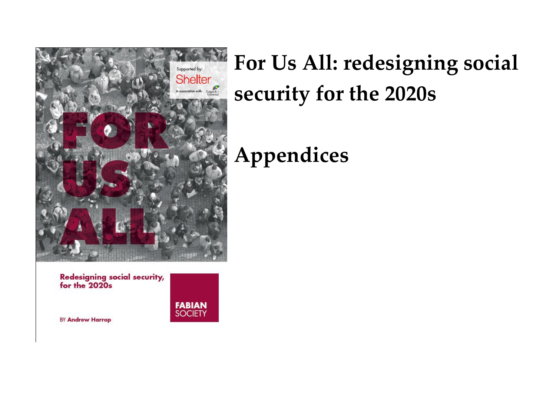

**Redesigning social security,** for the 2020s



**BY Andrew Harrop** 

# **For Us All: redesigning social security for the 2020s**

# **Appendices**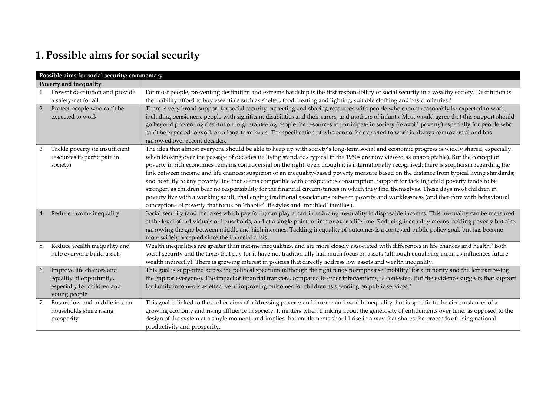# **1. Possible aims for social security**

|    | Possible aims for social security: commentary                                                       |                                                                                                                                                                                                                                                                                                                                                                                                                                                                                                                                                                                                                                                                                                                                                                                                                                                                                                                                                                                                                                                                                                            |  |  |  |
|----|-----------------------------------------------------------------------------------------------------|------------------------------------------------------------------------------------------------------------------------------------------------------------------------------------------------------------------------------------------------------------------------------------------------------------------------------------------------------------------------------------------------------------------------------------------------------------------------------------------------------------------------------------------------------------------------------------------------------------------------------------------------------------------------------------------------------------------------------------------------------------------------------------------------------------------------------------------------------------------------------------------------------------------------------------------------------------------------------------------------------------------------------------------------------------------------------------------------------------|--|--|--|
|    | Poverty and inequality                                                                              |                                                                                                                                                                                                                                                                                                                                                                                                                                                                                                                                                                                                                                                                                                                                                                                                                                                                                                                                                                                                                                                                                                            |  |  |  |
|    | 1. Prevent destitution and provide<br>a safety-net for all                                          | For most people, preventing destitution and extreme hardship is the first responsibility of social security in a wealthy society. Destitution is<br>the inability afford to buy essentials such as shelter, food, heating and lighting, suitable clothing and basic toiletries. <sup>1</sup>                                                                                                                                                                                                                                                                                                                                                                                                                                                                                                                                                                                                                                                                                                                                                                                                               |  |  |  |
|    | 2. Protect people who can't be<br>expected to work                                                  | There is very broad support for social security protecting and sharing resources with people who cannot reasonably be expected to work,<br>including pensioners, people with significant disabilities and their carers, and mothers of infants. Most would agree that this support should<br>go beyond preventing destitution to guaranteeing people the resources to participate in society (ie avoid poverty) especially for people who<br>can't be expected to work on a long-term basis. The specification of who cannot be expected to work is always controversial and has<br>narrowed over recent decades.                                                                                                                                                                                                                                                                                                                                                                                                                                                                                          |  |  |  |
| 3. | Tackle poverty (ie insufficient<br>resources to participate in<br>society)                          | The idea that almost everyone should be able to keep up with society's long-term social and economic progress is widely shared, especially<br>when looking over the passage of decades (ie living standards typical in the 1950s are now viewed as unacceptable). But the concept of<br>poverty in rich economies remains controversial on the right, even though it is internationally recognised: there is scepticism regarding the<br>link between income and life chances; suspicion of an inequality-based poverty measure based on the distance from typical living standards;<br>and hostility to any poverty line that seems compatible with conspicuous consumption. Support for tackling child poverty tends to be<br>stronger, as children bear no responsibility for the financial circumstances in which they find themselves. These days most children in<br>poverty live with a working adult, challenging traditional associations between poverty and worklessness (and therefore with behavioural<br>conceptions of poverty that focus on 'chaotic' lifestyles and 'troubled' families). |  |  |  |
|    | 4. Reduce income inequality                                                                         | Social security (and the taxes which pay for it) can play a part in reducing inequality in disposable incomes. This inequality can be measured<br>at the level of individuals or households, and at a single point in time or over a lifetime. Reducing inequality means tackling poverty but also<br>narrowing the gap between middle and high incomes. Tackling inequality of outcomes is a contested public policy goal, but has become<br>more widely accepted since the financial crisis.                                                                                                                                                                                                                                                                                                                                                                                                                                                                                                                                                                                                             |  |  |  |
| 5. | Reduce wealth inequality and<br>help everyone build assets                                          | Wealth inequalities are greater than income inequalities, and are more closely associated with differences in life chances and health. <sup>2</sup> Both<br>social security and the taxes that pay for it have not traditionally had much focus on assets (although equalising incomes influences future<br>wealth indirectly). There is growing interest in policies that directly address low assets and wealth inequality.                                                                                                                                                                                                                                                                                                                                                                                                                                                                                                                                                                                                                                                                              |  |  |  |
| 6. | Improve life chances and<br>equality of opportunity,<br>especially for children and<br>young people | This goal is supported across the political spectrum (although the right tends to emphasise 'mobility' for a minority and the left narrowing<br>the gap for everyone). The impact of financial transfers, compared to other interventions, is contested. But the evidence suggests that support<br>for family incomes is as effective at improving outcomes for children as spending on public services. <sup>3</sup>                                                                                                                                                                                                                                                                                                                                                                                                                                                                                                                                                                                                                                                                                      |  |  |  |
| 7. | Ensure low and middle income<br>households share rising<br>prosperity                               | This goal is linked to the earlier aims of addressing poverty and income and wealth inequality, but is specific to the circumstances of a<br>growing economy and rising affluence in society. It matters when thinking about the generosity of entitlements over time, as opposed to the<br>design of the system at a single moment, and implies that entitlements should rise in a way that shares the proceeds of rising national<br>productivity and prosperity.                                                                                                                                                                                                                                                                                                                                                                                                                                                                                                                                                                                                                                        |  |  |  |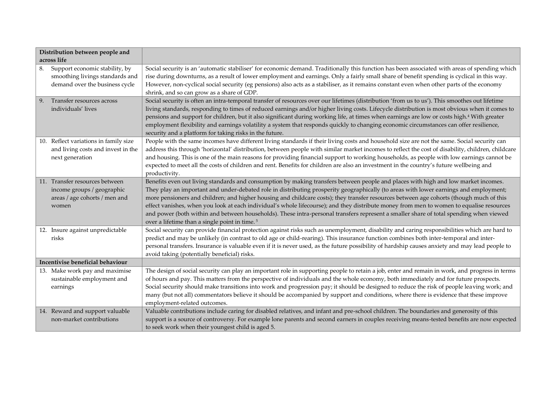| Distribution between people and  |                                                                                                        |                                                                                                                                                                                                                                                                                                                                                                                                                                                                                                                                                                                                                                                                                                                                                                           |
|----------------------------------|--------------------------------------------------------------------------------------------------------|---------------------------------------------------------------------------------------------------------------------------------------------------------------------------------------------------------------------------------------------------------------------------------------------------------------------------------------------------------------------------------------------------------------------------------------------------------------------------------------------------------------------------------------------------------------------------------------------------------------------------------------------------------------------------------------------------------------------------------------------------------------------------|
|                                  | across life                                                                                            |                                                                                                                                                                                                                                                                                                                                                                                                                                                                                                                                                                                                                                                                                                                                                                           |
| 8.                               | Support economic stability, by<br>smoothing livings standards and<br>demand over the business cycle    | Social security is an 'automatic stabiliser' for economic demand. Traditionally this function has been associated with areas of spending which<br>rise during downturns, as a result of lower employment and earnings. Only a fairly small share of benefit spending is cyclical in this way.<br>However, non-cyclical social security (eg pensions) also acts as a stabiliser, as it remains constant even when other parts of the economy<br>shrink, and so can grow as a share of GDP.                                                                                                                                                                                                                                                                                 |
| 9.                               | Transfer resources across<br>individuals' lives                                                        | Social security is often an intra-temporal transfer of resources over our lifetimes (distribution 'from us to us'). This smoothes out lifetime<br>living standards, responding to times of reduced earnings and/or higher living costs. Lifecycle distribution is most obvious when it comes to<br>pensions and support for children, but it also significant during working life, at times when earnings are low or costs high. <sup>4</sup> With greater<br>employment flexibility and earnings volatility a system that responds quickly to changing economic circumstances can offer resilience,<br>security and a platform for taking risks in the future.                                                                                                           |
|                                  | 10. Reflect variations in family size<br>and living costs and invest in the<br>next generation         | People with the same incomes have different living standards if their living costs and household size are not the same. Social security can<br>address this through 'horizontal' distribution, between people with similar market incomes to reflect the cost of disability, children, childcare<br>and housing. This is one of the main reasons for providing financial support to working households, as people with low earnings cannot be<br>expected to meet all the costs of children and rent. Benefits for children are also an investment in the country's future wellbeing and<br>productivity.                                                                                                                                                                 |
|                                  | 11. Transfer resources between<br>income groups / geographic<br>areas / age cohorts / men and<br>women | Benefits even out living standards and consumption by making transfers between people and places with high and low market incomes.<br>They play an important and under-debated role in distributing prosperity geographically (to areas with lower earnings and employment;<br>more pensioners and children; and higher housing and childcare costs); they transfer resources between age cohorts (though much of this<br>effect vanishes, when you look at each individual's whole lifecourse); and they distribute money from men to women to equalise resources<br>and power (both within and between households). These intra-personal transfers represent a smaller share of total spending when viewed<br>over a lifetime than a single point in time. <sup>5</sup> |
|                                  | 12. Insure against unpredictable<br>risks                                                              | Social security can provide financial protection against risks such as unemployment, disability and caring responsibilities which are hard to<br>predict and may be unlikely (in contrast to old age or child-rearing). This insurance function combines both inter-temporal and inter-<br>personal transfers. Insurance is valuable even if it is never used, as the future possibility of hardship causes anxiety and may lead people to<br>avoid taking (potentially beneficial) risks.                                                                                                                                                                                                                                                                                |
| Incentivise beneficial behaviour |                                                                                                        |                                                                                                                                                                                                                                                                                                                                                                                                                                                                                                                                                                                                                                                                                                                                                                           |
|                                  | 13. Make work pay and maximise<br>sustainable employment and<br>earnings                               | The design of social security can play an important role in supporting people to retain a job, enter and remain in work, and progress in terms<br>of hours and pay. This matters from the perspective of individuals and the whole economy, both immediately and for future prospects.<br>Social security should make transitions into work and progression pay; it should be designed to reduce the risk of people leaving work; and<br>many (but not all) commentators believe it should be accompanied by support and conditions, where there is evidence that these improve<br>employment-related outcomes.                                                                                                                                                           |
|                                  | 14. Reward and support valuable<br>non-market contributions                                            | Valuable contributions include caring for disabled relatives, and infant and pre-school children. The boundaries and generosity of this<br>support is a source of controversy. For example lone parents and second earners in couples receiving means-tested benefits are now expected<br>to seek work when their youngest child is aged 5.                                                                                                                                                                                                                                                                                                                                                                                                                               |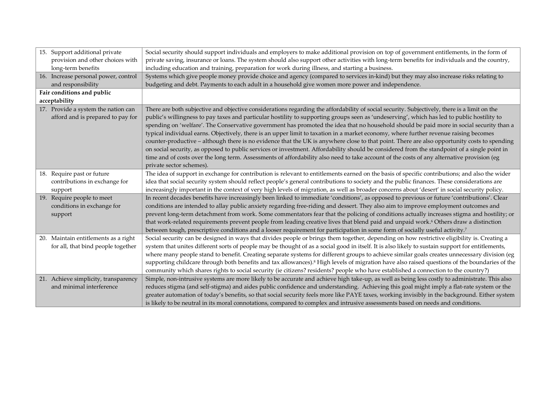|     | 15. Support additional private       | Social security should support individuals and employers to make additional provision on top of government entitlements, in the form of                   |
|-----|--------------------------------------|-----------------------------------------------------------------------------------------------------------------------------------------------------------|
|     | provision and other choices with     | private saving, insurance or loans. The system should also support other activities with long-term benefits for individuals and the country,              |
|     | long-term benefits                   | including education and training, preparation for work during illness, and starting a business.                                                           |
|     | 16. Increase personal power, control | Systems which give people money provide choice and agency (compared to services in-kind) but they may also increase risks relating to                     |
|     | and responsibility                   | budgeting and debt. Payments to each adult in a household give women more power and independence.                                                         |
|     | Fair conditions and public           |                                                                                                                                                           |
|     | acceptability                        |                                                                                                                                                           |
|     | 17. Provide a system the nation can  | There are both subjective and objective considerations regarding the affordability of social security. Subjectively, there is a limit on the              |
|     | afford and is prepared to pay for    | public's willingness to pay taxes and particular hostility to supporting groups seen as 'undeserving', which has led to public hostility to               |
|     |                                      | spending on 'welfare'. The Conservative government has promoted the idea that no household should be paid more in social security than a                  |
|     |                                      | typical individual earns. Objectively, there is an upper limit to taxation in a market economy, where further revenue raising becomes                     |
|     |                                      | counter-productive - although there is no evidence that the UK is anywhere close to that point. There are also opportunity costs to spending              |
|     |                                      | on social security, as opposed to public services or investment. Affordability should be considered from the standpoint of a single point in              |
|     |                                      | time and of costs over the long term. Assessments of affordability also need to take account of the costs of any alternative provision (eg                |
|     |                                      | private sector schemes).                                                                                                                                  |
|     | 18. Require past or future           | The idea of support in exchange for contribution is relevant to entitlements earned on the basis of specific contributions; and also the wider            |
|     | contributions in exchange for        | idea that social security system should reflect people's general contributions to society and the public finances. These considerations are               |
|     | support                              | increasingly important in the context of very high levels of migration, as well as broader concerns about 'desert' in social security policy.             |
|     | 19. Require people to meet           | In recent decades benefits have increasingly been linked to immediate 'conditions', as opposed to previous or future 'contributions'. Clear               |
|     | conditions in exchange for           | conditions are intended to allay public anxiety regarding free-riding and dessert. They also aim to improve employment outcomes and                       |
|     | support                              | prevent long-term detachment from work. Some commentators fear that the policing of conditions actually increases stigma and hostility; or                |
|     |                                      | that work-related requirements prevent people from leading creative lives that blend paid and unpaid work. <sup>6</sup> Others draw a distinction         |
|     |                                      | between tough, prescriptive conditions and a looser requirement for participation in some form of socially useful activity.7                              |
| 20. | Maintain entitlements as a right     | Social security can be designed in ways that divides people or brings them together, depending on how restrictive eligibility is. Creating a              |
|     | for all, that bind people together   | system that unites different sorts of people may be thought of as a social good in itself. It is also likely to sustain support for entitlements,         |
|     |                                      | where many people stand to benefit. Creating separate systems for different groups to achieve similar goals creates unnecessary division (eg              |
|     |                                      | supporting childcare through both benefits and tax allowances). <sup>8</sup> High levels of migration have also raised questions of the boundaries of the |
|     |                                      | community which shares rights to social security (ie citizens? residents? people who have established a connection to the country?)                       |
|     | 21. Achieve simplicity, transparency | Simple, non-intrusive systems are more likely to be accurate and achieve high take-up, as well as being less costly to administrate. This also            |
|     | and minimal interference             | reduces stigma (and self-stigma) and aides public confidence and understanding. Achieving this goal might imply a flat-rate system or the                 |
|     |                                      | greater automation of today's benefits, so that social security feels more like PAYE taxes, working invisibly in the background. Either system            |
|     |                                      | is likely to be neutral in its moral connotations, compared to complex and intrusive assessments based on needs and conditions.                           |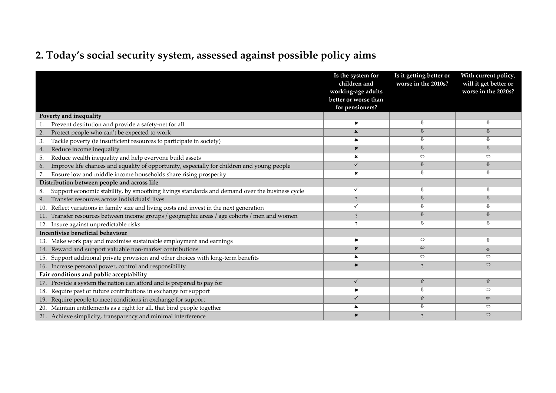# **2. Today's social security system, assessed against possible policy aims**

|                                                                                                     | Is the system for<br>children and<br>working-age adults<br>better or worse than<br>for pensioners? | Is it getting better or<br>worse in the 2010s? | With current policy,<br>will it get better or<br>worse in the 2020s? |
|-----------------------------------------------------------------------------------------------------|----------------------------------------------------------------------------------------------------|------------------------------------------------|----------------------------------------------------------------------|
| Poverty and inequality                                                                              |                                                                                                    |                                                |                                                                      |
| Prevent destitution and provide a safety-net for all                                                | $\pmb{\times}$                                                                                     | ⇩                                              | ⇩                                                                    |
| Protect people who can't be expected to work<br>2.                                                  | ×                                                                                                  | ⇩                                              | ⇩                                                                    |
| Tackle poverty (ie insufficient resources to participate in society)<br>3.                          | $\pmb{x}$                                                                                          | ⇩                                              | ⇩                                                                    |
| Reduce income inequality<br>4.                                                                      | ×                                                                                                  | ⇩                                              | ⇩                                                                    |
| Reduce wealth inequality and help everyone build assets<br>5.                                       | ×                                                                                                  | $\Leftrightarrow$                              | ⇔                                                                    |
| Improve life chances and equality of opportunity, especially for children and young people<br>6.    | ✓                                                                                                  | ⇩                                              | ⇩                                                                    |
| Ensure low and middle income households share rising prosperity<br>7.                               | $\pmb{x}$                                                                                          | ⇩                                              | ⇩                                                                    |
| Distribution between people and across life                                                         |                                                                                                    |                                                |                                                                      |
| Support economic stability, by smoothing livings standards and demand over the business cycle<br>8. | ✓                                                                                                  | ⇩                                              | ⇩                                                                    |
| Transfer resources across individuals' lives<br>9.                                                  | $\overline{?}$                                                                                     | ⇩                                              | ⇩                                                                    |
| Reflect variations in family size and living costs and invest in the next generation<br>10.         | ✓                                                                                                  | ⇩                                              | ⇩                                                                    |
| Transfer resources between income groups / geographic areas / age cohorts / men and women<br>11.    | $\overline{\phantom{0}}$                                                                           | ⇩                                              | ⇩                                                                    |
| 12. Insure against unpredictable risks                                                              | $\mathcal{P}$                                                                                      | ⇩                                              | ⇩                                                                    |
| Incentivise beneficial behaviour                                                                    |                                                                                                    |                                                |                                                                      |
| 13. Make work pay and maximise sustainable employment and earnings                                  | $\pmb{x}$                                                                                          | $\Leftrightarrow$                              | ⇧                                                                    |
| 14. Reward and support valuable non-market contributions                                            | $\pmb{x}$                                                                                          | $\Leftrightarrow$                              | $^{\circ}$                                                           |
| Support additional private provision and other choices with long-term benefits<br>15.               | $\pmb{\times}$                                                                                     | $\Leftrightarrow$                              | ⇔                                                                    |
| 16. Increase personal power, control and responsibility                                             | $\pmb{x}$                                                                                          | $\mathcal{P}$                                  | $\Leftrightarrow$                                                    |
| Fair conditions and public acceptability                                                            |                                                                                                    |                                                |                                                                      |
| Provide a system the nation can afford and is prepared to pay for                                   | $\checkmark$                                                                                       | ⇧                                              | ⇧                                                                    |
| Require past or future contributions in exchange for support<br>18.                                 | $\pmb{\times}$                                                                                     | ⇩                                              | ⇔                                                                    |
| Require people to meet conditions in exchange for support<br>19.                                    | $\checkmark$                                                                                       | ⇧                                              | $\Leftrightarrow$                                                    |
| Maintain entitlements as a right for all, that bind people together<br><b>20.</b>                   | $\pmb{\times}$                                                                                     | ⇩                                              | ⇔                                                                    |
| 21. Achieve simplicity, transparency and minimal interference                                       | $\mathbf x$                                                                                        | $\overline{\phantom{0}}$                       | $\Leftrightarrow$                                                    |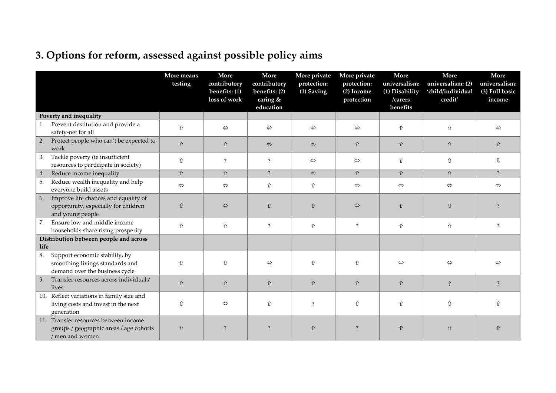# **3. Options for reform, assessed against possible policy aims**

|                                                |                                                                                                     | More means<br>testing | More<br>contributory<br>benefits: (1)<br>loss of work | More<br>contributory<br>benefits: (2)<br>caring &<br>education | More private<br>protection:<br>(1) Saving | More private<br>protection:<br>(2) Income<br>protection | More<br>universalism:<br>(1) Disability<br>/carers<br>benefits | More<br>universalism: (2)<br>'child/individual<br>credit' | More<br>universalism:<br>(3) Full basic<br>income |
|------------------------------------------------|-----------------------------------------------------------------------------------------------------|-----------------------|-------------------------------------------------------|----------------------------------------------------------------|-------------------------------------------|---------------------------------------------------------|----------------------------------------------------------------|-----------------------------------------------------------|---------------------------------------------------|
| Poverty and inequality                         |                                                                                                     |                       |                                                       |                                                                |                                           |                                                         |                                                                |                                                           |                                                   |
|                                                | Prevent destitution and provide a<br>safety-net for all                                             | ⇧                     | $\Leftrightarrow$                                     | $\Leftrightarrow$                                              | $\Leftrightarrow$                         | $\Leftrightarrow$                                       | ⇧                                                              | ⇧                                                         | $\Leftrightarrow$                                 |
| 2.                                             | Protect people who can't be expected to<br>work                                                     | ⇧                     | ⇧                                                     | $\Leftrightarrow$                                              | $\Leftrightarrow$                         | ⇧                                                       | ⇧                                                              | ⇧                                                         | ⇧                                                 |
| 3.                                             | Tackle poverty (ie insufficient<br>resources to participate in society)                             | ⇧                     | $\overline{?}$                                        | $\overline{\cdot}$                                             | $\Leftrightarrow$                         | $\Leftrightarrow$                                       | ⇧                                                              | ⇧                                                         | ⇩                                                 |
| 4.                                             | Reduce income inequality                                                                            | 仚                     | 企                                                     | $\overline{?}$                                                 | $\Leftrightarrow$                         | ⇧                                                       | ⇧                                                              | ⇧                                                         | $\overline{?}$                                    |
| 5.                                             | Reduce wealth inequality and help<br>everyone build assets                                          | $\Leftrightarrow$     | $\Leftrightarrow$                                     | ⇧                                                              | ⇧                                         | ⇔                                                       | ⇔                                                              | $\Leftrightarrow$                                         | $\Leftrightarrow$                                 |
| 6.                                             | Improve life chances and equality of<br>opportunity, especially for children<br>and young people    | 仚                     | $\Leftrightarrow$                                     | ⇧                                                              | ⇧                                         | $\Leftrightarrow$                                       | ⇧                                                              | ⇧                                                         | $\overline{?}$                                    |
| 7.                                             | Ensure low and middle income<br>households share rising prosperity                                  | ⇧                     | ⇧                                                     | $\ddot{?}$                                                     | ⇧                                         | $\overline{\cdot}$                                      | ⇧                                                              | ⇧                                                         | $\overline{?}$                                    |
| Distribution between people and across<br>life |                                                                                                     |                       |                                                       |                                                                |                                           |                                                         |                                                                |                                                           |                                                   |
| 8.                                             | Support economic stability, by<br>smoothing livings standards and<br>demand over the business cycle | ⇧                     | ⇧                                                     | ⇔                                                              | ⇧                                         | ⇧                                                       | ⇔                                                              | ⇔                                                         | ⇔                                                 |
| 9.                                             | Transfer resources across individuals'<br>lives                                                     | ⇧                     | ⇧                                                     | ⇧                                                              | ⇧                                         | 企                                                       | ⇧                                                              | $\overline{?}$                                            | $\overline{?}$                                    |
|                                                | 10. Reflect variations in family size and<br>living costs and invest in the next<br>generation      | ⇧                     | $\Leftrightarrow$                                     | ⇧                                                              | $\overline{\mathcal{L}}$                  | ⇧                                                       | ⇧                                                              | ⇧                                                         | ⇧                                                 |
|                                                | 11. Transfer resources between income<br>groups / geographic areas / age cohorts<br>/ men and women | 仚                     | $\overline{?}$                                        | $\ddot{?}$                                                     | ⇧                                         | $\overline{?}$                                          | ⇧                                                              | ⇧                                                         | ⇧                                                 |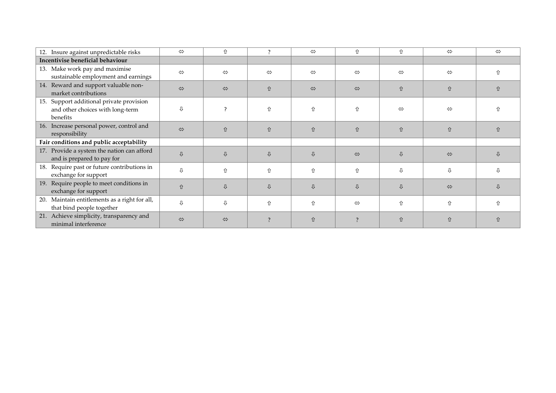| 12. Insure against unpredictable risks                                                   | $\Leftrightarrow$ | ⇧                 | ? | $\Leftrightarrow$ | ⇧                        | ⇧                 | $\Leftrightarrow$ | $\Leftrightarrow$ |
|------------------------------------------------------------------------------------------|-------------------|-------------------|---|-------------------|--------------------------|-------------------|-------------------|-------------------|
| Incentivise beneficial behaviour                                                         |                   |                   |   |                   |                          |                   |                   |                   |
| 13. Make work pay and maximise<br>sustainable employment and earnings                    | ⇔                 | $\Leftrightarrow$ | ⇔ | ⇔                 | $\Leftrightarrow$        | $\Leftrightarrow$ | $\Leftrightarrow$ | ⇑                 |
| 14. Reward and support valuable non-<br>market contributions                             | $\Leftrightarrow$ | $\Leftrightarrow$ | 仚 | $\Leftrightarrow$ | $\Leftrightarrow$        | ⇧                 | ⇧                 | 介                 |
| 15. Support additional private provision<br>and other choices with long-term<br>benefits | ⇩                 | 7                 | ⇧ | ⇧                 | ⇧                        | $\Leftrightarrow$ | ⇔                 |                   |
| 16. Increase personal power, control and<br>responsibility                               | $\Leftrightarrow$ | 仚                 | 仚 | ⇧                 | 仚                        | ⇧                 | ⇧                 | 仚                 |
| Fair conditions and public acceptability                                                 |                   |                   |   |                   |                          |                   |                   |                   |
| 17. Provide a system the nation can afford<br>and is prepared to pay for                 | ⇩                 | ⇩                 | ⇩ | ⇩                 | $\Leftrightarrow$        | ⇩                 | $\Leftrightarrow$ | ⇩                 |
| 18. Require past or future contributions in<br>exchange for support                      | ⇩                 | ⇧                 | ⇧ | ⇧                 | ⇧                        | ⇩                 | ⇩                 | ſ,                |
| Require people to meet conditions in<br>19.<br>exchange for support                      | 仚                 | ⇩                 | ⇩ | 具                 | ⇩                        | $\bigcup$         | $\Leftrightarrow$ | ⇩                 |
| 20. Maintain entitlements as a right for all,<br>that bind people together               | ⇩                 | ⇩                 | ⇧ | ⇧                 | ⇔                        | ⇧                 | 介                 | 介                 |
| 21. Achieve simplicity, transparency and<br>minimal interference                         | $\Leftrightarrow$ | $\Leftrightarrow$ |   | 企                 | $\overline{\phantom{0}}$ | 仚                 | 介                 | ⇧                 |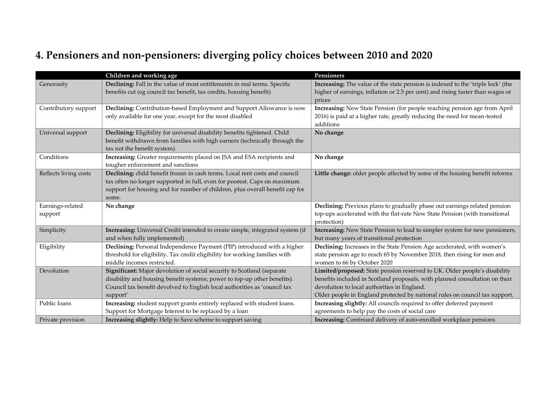# **4. Pensioners and non-pensioners: diverging policy choices between 2010 and 2020**

|                             | Children and working age                                                                                                                                                                                                                         | Pensioners                                                                                                                                                                                                                                                                             |
|-----------------------------|--------------------------------------------------------------------------------------------------------------------------------------------------------------------------------------------------------------------------------------------------|----------------------------------------------------------------------------------------------------------------------------------------------------------------------------------------------------------------------------------------------------------------------------------------|
| Generosity                  | Declining: Fall in the value of most entitlements in real terms. Specific                                                                                                                                                                        | Increasing: The value of the state pension is indexed to the 'triple lock' (the                                                                                                                                                                                                        |
|                             | benefits cut (eg council tax benefit, tax credits, housing benefit)                                                                                                                                                                              | higher of earnings, inflation or 2.5 per cent) and rising faster than wages or<br>prices                                                                                                                                                                                               |
| Contributory support        | Declining: Contribution-based Employment and Support Allowance is now<br>only available for one year, except for the most disabled                                                                                                               | Increasing: New State Pension (for people reaching pension age from April<br>2016) is paid at a higher rate, greatly reducing the need for mean-tested<br>additions                                                                                                                    |
| Universal support           | Declining: Eligibility for universal disability benefits tightened. Child<br>benefit withdrawn from families with high earners (technically through the<br>tax not the benefit system).                                                          | No change                                                                                                                                                                                                                                                                              |
| Conditions                  | Increasing: Greater requirements placed on JSA and ESA recipients and<br>tougher enforcement and sanctions                                                                                                                                       | No change                                                                                                                                                                                                                                                                              |
| Reflects living costs       | Declining: child benefit frozen in cash terms. Local rent costs and council<br>tax often no longer supported in full, even for poorest. Caps on maximum<br>support for housing and for number of children, plus overall benefit cap for<br>some. | Little change: older people affected by some of the housing benefit reforms                                                                                                                                                                                                            |
| Earnings-related<br>support | No change                                                                                                                                                                                                                                        | Declining: Previous plans to gradually phase out earnings related pension<br>top-ups accelerated with the flat-rate New State Pension (with transitional<br>protection)                                                                                                                |
| Simplicity                  | Increasing: Universal Credit intended to create simple, integrated system (if<br>and when fully implemented)                                                                                                                                     | Increasing: New State Pension to lead to simpler system for new pensioners,<br>but many years of transitional protection                                                                                                                                                               |
| Eligibility                 | Declining: Personal Independence Payment (PIP) introduced with a higher<br>threshold for eligibility. Tax credit eligibility for working families with<br>middle incomes restricted.                                                             | Declining: Increases in the State Pension Age accelerated, with women's<br>state pension age to reach 65 by November 2018, then rising for men and<br>women to 66 by October 2020                                                                                                      |
| Devolution                  | Significant: Major devolution of social security to Scotland (separate<br>disability and housing benefit systems; power to top-up other benefits).<br>Council tax benefit devolved to English local authorities as 'council tax<br>support'      | Limited/proposed: State pension reserved to UK. Older people's disability<br>benefits included in Scotland proposals, with planned consultation on their<br>devolution to local authorities in England.<br>Older people in England protected by national rules on council tax support. |
| Public loans                | Increasing: student support grants entirely replaced with student loans.<br>Support for Mortgage Interest to be replaced by a loan                                                                                                               | Increasing slightly: All councils required to offer deferred payment<br>agreements to help pay the costs of social care                                                                                                                                                                |
| Private provision           | Increasing slightly: Help to Save scheme to support saving                                                                                                                                                                                       | Increasing: Continued delivery of auto-enrolled workplace pensions                                                                                                                                                                                                                     |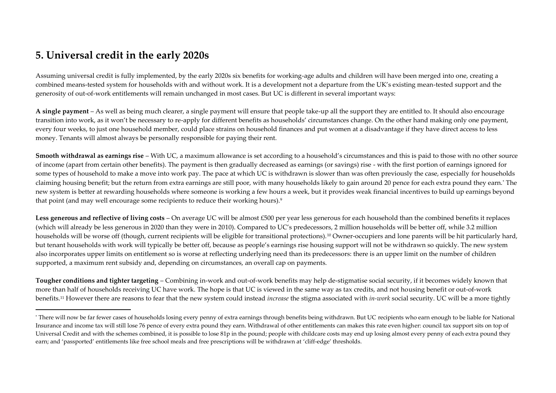#### **5. Universal credit in the early 2020s**

 $\overline{\phantom{a}}$ 

Assuming universal credit is fully implemented, by the early 2020s six benefits for working-age adults and children will have been merged into one, creating a combined means-tested system for households with and without work. It is a development not a departure from the UK's existing mean-tested support and the generosity of out-of-work entitlements will remain unchanged in most cases. But UC is different in several important ways:

**A single payment** – As well as being much clearer, a single payment will ensure that people take-up all the support they are entitled to. It should also encourage transition into work, as it won't be necessary to re-apply for different benefits as households' circumstances change. On the other hand making only one payment, every four weeks, to just one household member, could place strains on household finances and put women at a disadvantage if they have direct access to less money. Tenants will almost always be personally responsible for paying their rent.

**Smooth withdrawal as earnings rise** – With UC, a maximum allowance is set according to a household's circumstances and this is paid to those with no other source of income (apart from certain other benefits). The payment is then gradually decreased as earnings (or savings) rise - with the first portion of earnings ignored for some types of household to make a move into work pay. The pace at which UC is withdrawn is slower than was often previously the case, especially for households claiming housing benefit; but the return from extra earnings are still poor, with many households likely to gain around 20 pence for each extra pound they earn.\* The new system is better at rewarding households where someone is working a few hours a week, but it provides weak financial incentives to build up earnings beyond that point (and may well encourage some recipients to reduce their working hours).<sup>9</sup>

Less generous and reflective of living costs – On average UC will be almost £500 per year less generous for each household than the combined benefits it replaces (which will already be less generous in 2020 than they were in 2010). Compared to UC's predecessors, 2 million households will be better off, while 3.2 million households will be worse off (though, current recipients will be eligible for transitional protections).<sup>10</sup> Owner-occupiers and lone parents will be hit particularly hard, but tenant households with work will typically be better off, because as people's earnings rise housing support will not be withdrawn so quickly. The new system also incorporates upper limits on entitlement so is worse at reflecting underlying need than its predecessors: there is an upper limit on the number of children supported, a maximum rent subsidy and, depending on circumstances, an overall cap on payments.

**Tougher conditions and tighter targeting** – Combining in-work and out-of-work benefits may help de-stigmatise social security, if it becomes widely known that more than half of households receiving UC have work. The hope is that UC is viewed in the same way as tax credits, and not housing benefit or out-of-work benefits.<sup>11</sup> However there are reasons to fear that the new system could instead *increase* the stigma associated with *in-work* social security. UC will be a more tightly

<sup>\*</sup> There will now be far fewer cases of households losing every penny of extra earnings through benefits being withdrawn. But UC recipients who earn enough to be liable for National Insurance and income tax will still lose 76 pence of every extra pound they earn. Withdrawal of other entitlements can makes this rate even higher: council tax support sits on top of Universal Credit and with the schemes combined, it is possible to lose 81p in the pound; people with childcare costs may end up losing almost every penny of each extra pound they earn; and 'passported' entitlements like free school meals and free prescriptions will be withdrawn at 'cliff-edge' thresholds.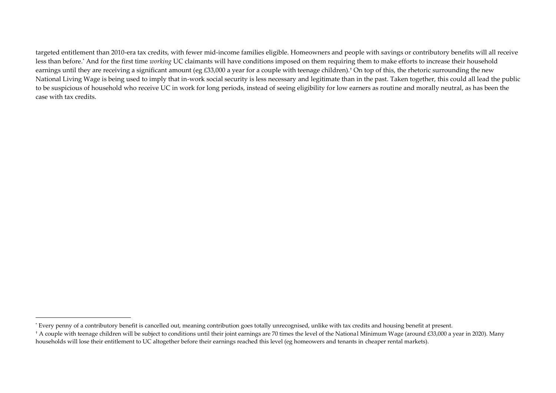targeted entitlement than 2010-era tax credits, with fewer mid-income families eligible. Homeowners and people with savings or contributory benefits will all receive less than before.\* And for the first time *working* UC claimants will have conditions imposed on them requiring them to make efforts to increase their household earnings until they are receiving a significant amount (eg £33,000 a year for a couple with teenage children).<sup>†</sup> On top of this, the rhetoric surrounding the new National Living Wage is being used to imply that in-work social security is less necessary and legitimate than in the past. Taken together, this could all lead the public to be suspicious of household who receive UC in work for long periods, instead of seeing eligibility for low earners as routine and morally neutral, as has been the case with tax credits.

 $\overline{a}$ 

<sup>\*</sup> Every penny of a contributory benefit is cancelled out, meaning contribution goes totally unrecognised, unlike with tax credits and housing benefit at present.

<sup>†</sup> A couple with teenage children will be subject to conditions until their joint earnings are 70 times the level of the National Minimum Wage (around £33,000 a year in 2020). Many households will lose their entitlement to UC altogether before their earnings reached this level (eg homeowers and tenants in cheaper rental markets).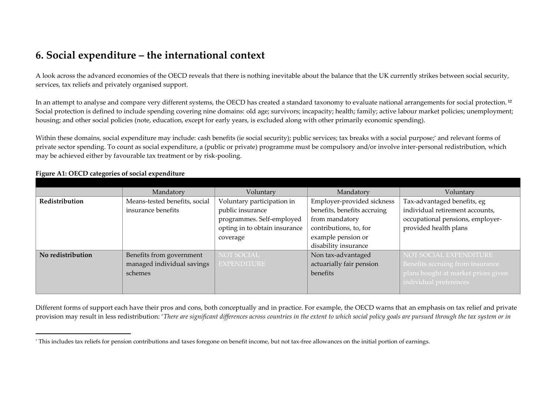### **6. Social expenditure – the international context**

A look across the advanced economies of the OECD reveals that there is nothing inevitable about the balance that the UK currently strikes between social security, services, tax reliefs and privately organised support.

In an attempt to analyse and compare very different systems, the OECD has created a standard taxonomy to evaluate national arrangements for social protection.<sup>12</sup> Social protection is defined to include spending covering nine domains: old age; survivors; incapacity; health; family; active labour market policies; unemployment; housing; and other social policies (note, education, except for early years, is excluded along with other primarily economic spending).

Within these domains, social expenditure may include: cash benefits (ie social security); public services; tax breaks with a social purpose; \* and relevant forms of private sector spending. To count as social expenditure, a (public or private) programme must be compulsory and/or involve inter-personal redistribution, which may be achieved either by favourable tax treatment or by risk-pooling.

|                   | Mandatory                     | Voluntary                     | Mandatory                   | Voluntary                           |
|-------------------|-------------------------------|-------------------------------|-----------------------------|-------------------------------------|
| Redistribution    | Means-tested benefits, social | Voluntary participation in    | Employer-provided sickness  | Tax-advantaged benefits, eg         |
|                   | insurance benefits            | public insurance              | benefits, benefits accruing | individual retirement accounts,     |
|                   |                               | programmes. Self-employed     | from mandatory              | occupational pensions, employer-    |
|                   |                               | opting in to obtain insurance | contributions, to, for      | provided health plans               |
|                   |                               | coverage                      | example pension or          |                                     |
|                   |                               |                               | disability insurance        |                                     |
| No redistribution | Benefits from government      | NOT SOCIAL                    | Non tax-advantaged          | NOT SOCIAL EXPENDITURE              |
|                   | managed individual savings    | <b>EXPENDITURE</b>            | actuarially fair pension    | Benefits accruing from insurance    |
|                   | schemes                       |                               | benefits                    | plans bought at market prices given |
|                   |                               |                               |                             | individual preferences              |
|                   |                               |                               |                             |                                     |

#### **Figure A1: OECD categories of social expenditure**

 $\overline{a}$ 

Different forms of support each have their pros and cons, both conceptually and in practice. For example, the OECD warns that an emphasis on tax relief and private provision may result in less redistribution: '*There are significant differences across countries in the extent to which social policy goals are pursued through the tax system or in* 

<sup>\*</sup> This includes tax reliefs for pension contributions and taxes foregone on benefit income, but not tax-free allowances on the initial portion of earnings.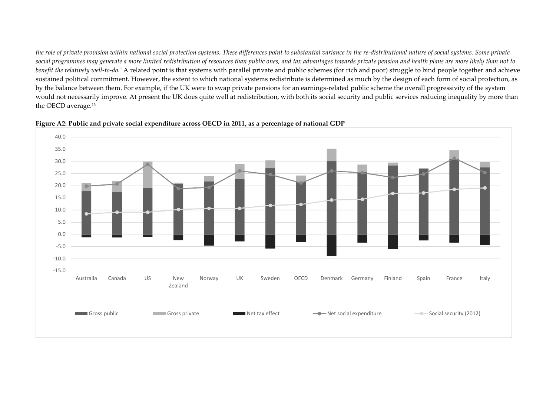*the role of private provision within national social protection systems. These differences point to substantial variance in the re-distributional nature of social systems. Some private social programmes may generate a more limited redistribution of resources than public ones, and tax advantages towards private pension and health plans are more likely than not to benefit the relatively well-to-do.'* A related point is that systems with parallel private and public schemes (for rich and poor) struggle to bind people together and achieve sustained political commitment. However, the extent to which national systems redistribute is determined as much by the design of each form of social protection, as by the balance between them. For example, if the UK were to swap private pensions for an earnings-related public scheme the overall progressivity of the system would not necessarily improve. At present the UK does quite well at redistribution, with both its social security and public services reducing inequality by more than the OECD average.<sup>13</sup>



#### **Figure A2: Public and private social expenditure across OECD in 2011, as a percentage of national GDP**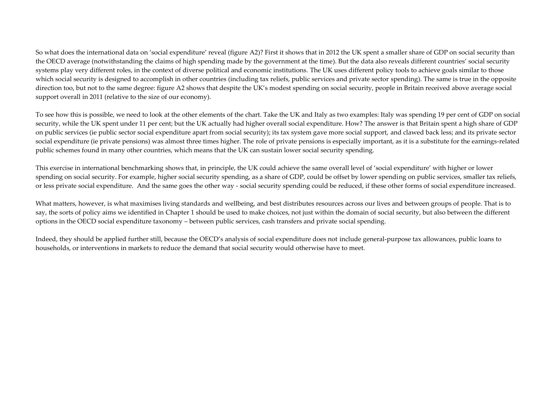So what does the international data on 'social expenditure' reveal (figure A2)? First it shows that in 2012 the UK spent a smaller share of GDP on social security than the OECD average (notwithstanding the claims of high spending made by the government at the time). But the data also reveals different countries' social security systems play very different roles, in the context of diverse political and economic institutions. The UK uses different policy tools to achieve goals similar to those which social security is designed to accomplish in other countries (including tax reliefs, public services and private sector spending). The same is true in the opposite direction too, but not to the same degree: figure A2 shows that despite the UK's modest spending on social security, people in Britain received above average social support overall in 2011 (relative to the size of our economy).

To see how this is possible, we need to look at the other elements of the chart. Take the UK and Italy as two examples: Italy was spending 19 per cent of GDP on social security, while the UK spent under 11 per cent; but the UK actually had higher overall social expenditure. How? The answer is that Britain spent a high share of GDP on public services (ie public sector social expenditure apart from social security); its tax system gave more social support, and clawed back less; and its private sector social expenditure (ie private pensions) was almost three times higher. The role of private pensions is especially important, as it is a substitute for the earnings-related public schemes found in many other countries, which means that the UK can sustain lower social security spending.

This exercise in international benchmarking shows that, in principle, the UK could achieve the same overall level of 'social expenditure' with higher or lower spending on social security. For example, higher social security spending, as a share of GDP, could be offset by lower spending on public services, smaller tax reliefs, or less private social expenditure. And the same goes the other way - social security spending could be reduced, if these other forms of social expenditure increased.

What matters, however, is what maximises living standards and wellbeing, and best distributes resources across our lives and between groups of people. That is to say, the sorts of policy aims we identified in Chapter 1 should be used to make choices, not just within the domain of social security, but also between the different options in the OECD social expenditure taxonomy – between public services, cash transfers and private social spending.

Indeed, they should be applied further still, because the OECD's analysis of social expenditure does not include general-purpose tax allowances, public loans to households, or interventions in markets to reduce the demand that social security would otherwise have to meet.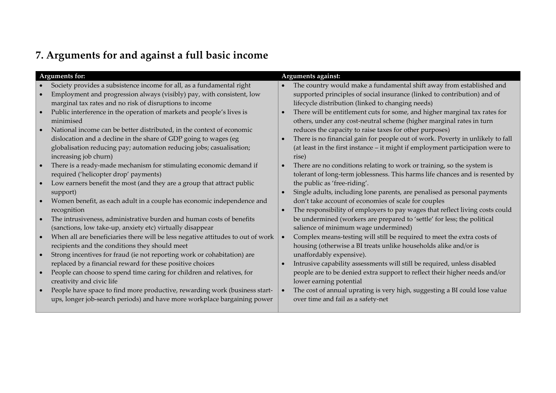# **7. Arguments for and against a full basic income**

|           | <b>Arguments for:</b>                                                           |           | Arguments against:                                                             |
|-----------|---------------------------------------------------------------------------------|-----------|--------------------------------------------------------------------------------|
| $\bullet$ | Society provides a subsistence income for all, as a fundamental right           | $\bullet$ | The country would make a fundamental shift away from established and           |
| $\bullet$ | Employment and progression always (visibly) pay, with consistent, low           |           | supported principles of social insurance (linked to contribution) and of       |
|           | marginal tax rates and no risk of disruptions to income                         |           | lifecycle distribution (linked to changing needs)                              |
| $\bullet$ | Public interference in the operation of markets and people's lives is           | $\bullet$ | There will be entitlement cuts for some, and higher marginal tax rates for     |
|           | minimised                                                                       |           | others, under any cost-neutral scheme (higher marginal rates in turn           |
| $\bullet$ | National income can be better distributed, in the context of economic           |           | reduces the capacity to raise taxes for other purposes)                        |
|           | dislocation and a decline in the share of GDP going to wages (eg                | $\bullet$ | There is no financial gain for people out of work. Poverty in unlikely to fall |
|           | globalisation reducing pay; automation reducing jobs; casualisation;            |           | (at least in the first instance - it might if employment participation were to |
|           | increasing job churn)                                                           |           | rise)                                                                          |
| $\bullet$ | There is a ready-made mechanism for stimulating economic demand if              | $\bullet$ | There are no conditions relating to work or training, so the system is         |
|           | required ('helicopter drop' payments)                                           |           | tolerant of long-term joblessness. This harms life chances and is resented by  |
| $\bullet$ | Low earners benefit the most (and they are a group that attract public          |           | the public as 'free-riding'.                                                   |
|           | support)                                                                        | $\bullet$ | Single adults, including lone parents, are penalised as personal payments      |
| $\bullet$ | Women benefit, as each adult in a couple has economic independence and          |           | don't take account of economies of scale for couples                           |
|           | recognition                                                                     | $\bullet$ | The responsibility of employers to pay wages that reflect living costs could   |
| $\bullet$ | The intrusiveness, administrative burden and human costs of benefits            |           | be undermined (workers are prepared to 'settle' for less; the political        |
|           | (sanctions, low take-up, anxiety etc) virtually disappear                       |           | salience of minimum wage undermined)                                           |
| $\bullet$ | When all are beneficiaries there will be less negative attitudes to out of work | $\bullet$ | Complex means-testing will still be required to meet the extra costs of        |
|           | recipients and the conditions they should meet                                  |           | housing (otherwise a BI treats unlike households alike and/or is               |
| $\bullet$ | Strong incentives for fraud (ie not reporting work or cohabitation) are         |           | unaffordably expensive).                                                       |
|           | replaced by a financial reward for these positive choices                       | $\bullet$ | Intrusive capability assessments will still be required, unless disabled       |
| $\bullet$ | People can choose to spend time caring for children and relatives, for          |           | people are to be denied extra support to reflect their higher needs and/or     |
|           | creativity and civic life                                                       |           | lower earning potential                                                        |
| $\bullet$ | People have space to find more productive, rewarding work (business start-      |           | The cost of annual uprating is very high, suggesting a BI could lose value     |
|           | ups, longer job-search periods) and have more workplace bargaining power        |           | over time and fail as a safety-net                                             |